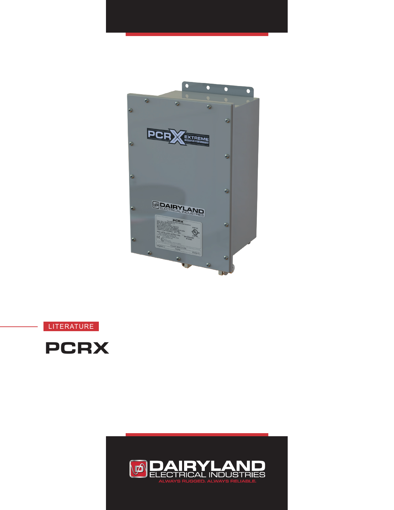



**LITERATURE** 

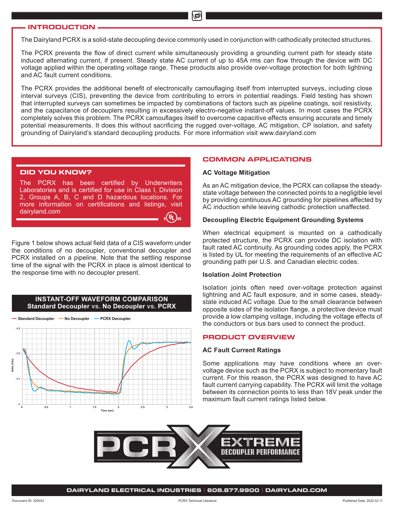#### **INTRODUCTION**

The Dairyland PCRX is a solid-state decoupling device commonly used in conjunction with cathodically protected structures.

மி

The PCRX prevents the flow of direct current while simultaneously providing a grounding current path for steady state induced alternating current, if present. Steady state AC current of up to 45A rms can flow through the device with DC voltage applied within the operating voltage range. These products also provide over-voltage protection for both lightning and AC fault current conditions.

The PCRX provides the additional benefit of electronically camouflaging itself from interrupted surveys, including close interval surveys (CIS), preventing the device from contributing to errors in potential readings. Field testing has shown that interrupted surveys can sometimes be impacted by combinations of factors such as pipeline coatings, soil resistivity, and the capacitance of decouplers resulting in excessively electro-negative instant-off values. In most cases the PCRX completely solves this problem. The PCRX camouflages itself to overcome capacitive effects ensuring accurate and timely potential measurements. It does this without sacrificing the rugged over-voltage, AC mitigation, CP isolation, and safety grounding of Dairyland's standard decoupling products. For more information visit www.dairyland.com

#### **DID YOU KNOW?**

The PCRX has been certified by Underwriters Laboratories and is certified for use in Class I, Division 2, Groups A, B, C and D hazardous locations. For more information on certifications and listings, visit dairyland.com  $(\bm{\mathsf{U}}_{\mathsf{L}})_{\mathsf{us}}$ 

Figure 1 below shows actual field data of a CIS waveform under the conditions of no decoupler, conventional decoupler and PCRX installed on a pipeline. Note that the settling response time of the signal with the PCRX in place is almost identical to the response time with no decoupler present.

### **TEST 22 Standard Decoupler vs. No Decoupler vs. PCRX INSTANT-OFF WAVEFORM COMPARISON**



#### **COMMON APPLICATIONS**

#### **AC Voltage Mitigation**

As an AC mitigation device, the PCRX can collapse the steadystate voltage between the connected points to a negligible level by providing continuous AC grounding for pipelines affected by AC induction while leaving cathodic protection unaffected.

#### **Decoupling Electric Equipment Grounding Systems**

When electrical equipment is mounted on a cathodically protected structure, the PCRX can provide DC isolation with fault rated AC continuity. As grounding codes apply, the PCRX is listed by UL for meeting the requirements of an effective AC grounding path per U.S. and Canadian electric codes.

#### **Isolation Joint Protection**

Isolation joints often need over-voltage protection against lightning and AC fault exposure, and in some cases, steadystate induced AC voltage. Due to the small clearance between opposite sides of the isolation flange, a protective device must provide a low clamping voltage, including the voltage effects of the conductors or bus bars used to connect the product.

#### **PRODUCT OVERVIEW**

#### **AC Fault Current Ratings**

Some applications may have conditions where an overvoltage device such as the PCRX is subject to momentary fault current. For this reason, the PCRX was designed to have AC fault current carrying capability. The PCRX will limit the voltage between its connection points to less than 18V peak under the maximum fault current ratings listed below.



**DAIRYLAND ELECTRICAL INDUSTRIES | 608.877.9900 | DAIRYLAND.COM**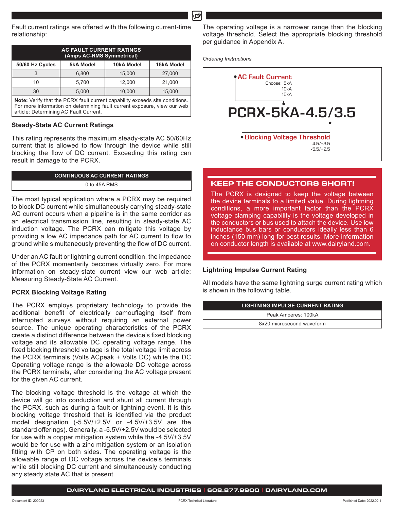Fault current ratings are offered with the following current-time relationship:

| <b>AC FAULT CURRENT RATINGS</b><br>(Amps AC-RMS Symmetrical) |                  |            |            |  |  |  |
|--------------------------------------------------------------|------------------|------------|------------|--|--|--|
| 50/60 Hz Cycles                                              | <b>5kA Model</b> | 10kA Model | 15kA Model |  |  |  |
|                                                              | 6.800            | 15.000     | 27,000     |  |  |  |
| 10                                                           | 5.700            | 12.000     | 21.000     |  |  |  |
| 30                                                           | 10.000<br>5.000  |            | 15.000     |  |  |  |

**Note:** Verify that the PCRX fault current capability exceeds site conditions. For more information on determining fault current exposure, view our web article: Determining AC Fault Current.

#### **Steady-State AC Current Ratings**

This rating represents the maximum steady-state AC 50/60Hz current that is allowed to flow through the device while still blocking the flow of DC current. Exceeding this rating can result in damage to the PCRX.

| <b>CONTINUOUS AC CURRENT RATINGS</b> |  |  |  |  |  |
|--------------------------------------|--|--|--|--|--|
| 0 to 45A RMS                         |  |  |  |  |  |

The most typical application where a PCRX may be required to block DC current while simultaneously carrying steady-state AC current occurs when a pipeline is in the same corridor as an electrical transmission line, resulting in steady-state AC induction voltage. The PCRX can mitigate this voltage by providing a low AC impedance path for AC current to flow to ground while simultaneously preventing the flow of DC current.

Under an AC fault or lightning current condition, the impedance of the PCRX momentarily becomes virtually zero. For more information on steady-state current view our web article: Measuring Steady-State AC Current.

#### **PCRX Blocking Voltage Rating**

The PCRX employs proprietary technology to provide the additional benefit of electrically camouflaging itself from interrupted surveys without requiring an external power source. The unique operating characteristics of the PCRX create a distinct difference between the device's fixed blocking voltage and its allowable DC operating voltage range. The fixed blocking threshold voltage is the total voltage limit across the PCRX terminals (Volts ACpeak + Volts DC) while the DC Operating voltage range is the allowable DC voltage across the PCRX terminals, after considering the AC voltage present for the given AC current.

The blocking voltage threshold is the voltage at which the device will go into conduction and shunt all current through the PCRX, such as during a fault or lightning event. It is this blocking voltage threshold that is identified via the product model designation (-5.5V/+2.5V or -4.5V/+3.5V are the standard offerings). Generally, a -5.5V/+2.5V would be selected for use with a copper mitigation system while the -4.5V/+3.5V would be for use with a zinc mitigation system or an isolation fitting with CP on both sides. The operating voltage is the allowable range of DC voltage across the device's terminals while still blocking DC current and simultaneously conducting any steady state AC that is present.

The operating voltage is a narrower range than the blocking voltage threshold. Select the appropriate blocking threshold per guidance in Appendix A.

*Ordering Instructions*



#### **KEEP THE CONDUCTORS SHORT!**

The PCRX is designed to keep the voltage between the device terminals to a limited value. During lightning conditions, a more important factor than the PCRX voltage clamping capability is the voltage developed in the conductors or bus used to attach the device. Use low inductance bus bars or conductors ideally less than 6 inches (150 mm) long for best results. More information on conductor length is available at www.dairyland.com.

#### **Lightning Impulse Current Rating**

All models have the same lightning surge current rating which is shown in the following table.

| <b>LIGHTNING IMPULSE CURRENT RATING</b> |  |  |  |  |
|-----------------------------------------|--|--|--|--|
| Peak Amperes: 100kA                     |  |  |  |  |
| 8x20 microsecond waveform               |  |  |  |  |

**DAIRYLAND ELECTRICAL INDUSTRIES | 608.877.9900 | DAIRYLAND.COM**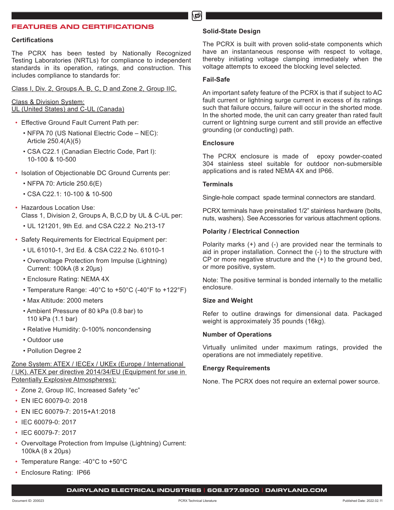#### **Certifications**

The PCRX has been tested by Nationally Recognized Testing Laboratories (NRTLs) for compliance to independent standards in its operation, ratings, and construction. This includes compliance to standards for:

#### Class I, Div. 2, Groups A, B, C, D and Zone 2, Group IIC.

Class & Division System: UL (United States) and C-UL (Canada)

- Effective Ground Fault Current Path per:
	- NFPA 70 (US National Electric Code NEC): Article 250.4(A)(5)
	- CSA C22.1 (Canadian Electric Code, Part I): 10-100 & 10-500
- Isolation of Objectionable DC Ground Currents per:
	- NFPA 70: Article 250.6(E)
	- CSA C22.1: 10-100 & 10-500
- Hazardous Location Use: Class 1, Division 2, Groups A, B,C,D by UL & C-UL per:
	- UL 121201, 9th Ed. and CSA C22.2 No.213-17
- Safety Requirements for Electrical Equipment per:
	- UL 61010-1, 3rd Ed. & CSA C22.2 No. 61010-1
	- Overvoltage Protection from Impulse (Lightning) Current: 100kA (8 x 20µs)
	- Enclosure Rating: NEMA 4X
	- Temperature Range: -40°C to +50°C (-40°F to +122°F)
	- Max Altitude: 2000 meters
	- Ambient Pressure of 80 kPa (0.8 bar) to 110 kPa (1.1 bar)
	- Relative Humidity: 0-100% noncondensing
	- Outdoor use
	- Pollution Degree 2

#### Zone System: ATEX / IECEx / UKEx (Europe / International / UK). ATEX per directive 2014/34/EU (Equipment for use in Potentially Explosive Atmospheres):

- Zone 2, Group IIC, Increased Safety "ec"
- EN IEC 60079-0: 2018
- EN IEC 60079-7: 2015+A1:2018
- IEC 60079-0: 2017
- IEC 60079-7: 2017
- Overvoltage Protection from Impulse (Lightning) Current: 100kA (8 x 20µs)
- Temperature Range: -40°C to +50°C
- Enclosure Rating: IP66

#### **Solid-State Design**

The PCRX is built with proven solid-state components which have an instantaneous response with respect to voltage, thereby initiating voltage clamping immediately when the voltage attempts to exceed the blocking level selected.

#### **Fail-Safe**

Ď

An important safety feature of the PCRX is that if subject to AC fault current or lightning surge current in excess of its ratings such that failure occurs, failure will occur in the shorted mode. In the shorted mode, the unit can carry greater than rated fault current or lightning surge current and still provide an effective grounding (or conducting) path.

#### **Enclosure**

The PCRX enclosure is made of epoxy powder-coated 304 stainless steel suitable for outdoor non-submersible applications and is rated NEMA 4X and IP66.

#### **Terminals**

Single-hole compact spade terminal connectors are standard.

PCRX terminals have preinstalled 1/2" stainless hardware (bolts, nuts, washers). See Accessories for various attachment options.

#### **Polarity / Electrical Connection**

Polarity marks (+) and (-) are provided near the terminals to aid in proper installation. Connect the (-) to the structure with CP or more negative structure and the (+) to the ground bed, or more positive, system.

Note: The positive terminal is bonded internally to the metallic enclosure.

#### **Size and Weight**

Refer to outline drawings for dimensional data. Packaged weight is approximately 35 pounds (16kg).

#### **Number of Operations**

Virtually unlimited under maximum ratings, provided the operations are not immediately repetitive.

#### **Energy Requirements**

None. The PCRX does not require an external power source.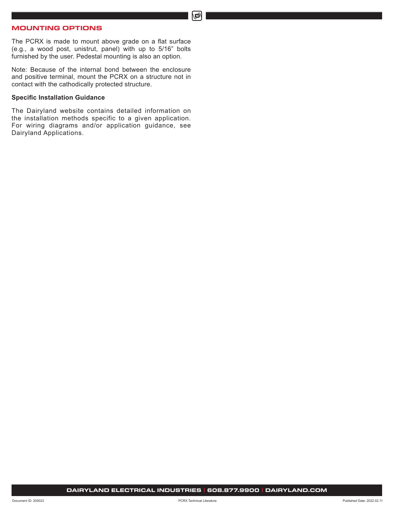#### **MOUNTING OPTIONS**

The PCRX is made to mount above grade on a flat surface (e.g., a wood post, unistrut, panel) with up to 5/16" bolts furnished by the user. Pedestal mounting is also an option.

Note: Because of the internal bond between the enclosure and positive terminal, mount the PCRX on a structure not in contact with the cathodically protected structure.

#### **Specific Installation Guidance**

The Dairyland website contains detailed information on the installation methods specific to a given application. For wiring diagrams and/or application guidance, see Dairyland Applications.

**DAIRYLAND ELECTRICAL INDUSTRIES | 608.877.9900 | DAIRYLAND.COM**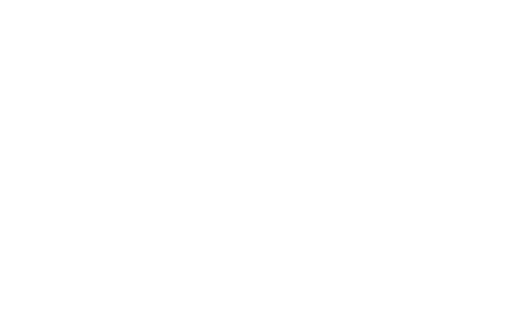### **P.O. BOX 187 STOUGHTON, WI 53589**

## **ISOMETRIC VIEW**



ANGLES =  $\pm 1$ °

THRU

THE INFORMATION CONTAINED IN THIS DRAWING IS THE SOLE PROPERTY<br>OF DIARYLAND ELECTRICAL INDUSTRIES, INC. ANY REPRODUCTION IN<br>PART OR WHOLE, WITHOUT THE WRITTEN PERMISSION OF DIARYLAND<br>ELECTRICAL INDUSTRIES, INC. IS PROHIBIT





|       | IDATF DRAWN <sup>.</sup><br>3/27/2020 | DAIRYLAND ELECTRICAL<br><b>INDUSTRIES, INC.</b> |               |
|-------|---------------------------------------|-------------------------------------------------|---------------|
| /AI · | <b>DATE APPROVAL:</b>                 | P.O. BOX 187<br>STOUGHTON, WI 53589             |               |
|       | 03/31/2020                            | 608-877-9900                                    | DAIRYLAND.COM |

| SHEET: OF |  | DWG SIZE: SCALE: $REV:$ PART #: |                 |  |                                 |
|-----------|--|---------------------------------|-----------------|--|---------------------------------|
|           |  | $\overline{B}$                  | $1$ 1 $\cdot$ 1 |  | $C \int^{\text{PAR1}\#} 200023$ |
|           |  |                                 |                 |  |                                 |

# **PCRX ASSEMBLY OUTLINE DRAWING**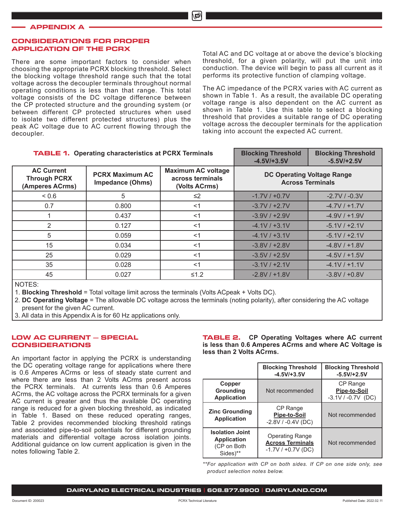#### **APPENDIX A**

#### **CONSIDERATIONS FOR PROPER APPLICATION OF THE PCRX**

There are some important factors to consider when choosing the appropriate PCRX blocking threshold. Select the blocking voltage threshold range such that the total voltage across the decoupler terminals throughout normal operating conditions is less than that range. This total voltage consists of the DC voltage difference between the CP protected structure and the grounding system (or between different CP protected structures when used to isolate two different protected structures) plus the peak AC voltage due to AC current flowing through the decoupler.

Total AC and DC voltage at or above the device's blocking threshold, for a given polarity, will put the unit into conduction. The device will begin to pass all current as it performs its protective function of clamping voltage.

The AC impedance of the PCRX varies with AC current as shown in Table 1. As a result, the available DC operating voltage range is also dependent on the AC current as shown in Table 1. Use this table to select a blocking threshold that provides a suitable range of DC operating voltage across the decoupler terminals for the application taking into account the expected AC current.

|                                                             | <b>TABLE 1. Operating characteristics at PCRX Terminals</b> | <b>Blocking Threshold</b><br>$-4.5V/+3.5V$                     | <b>Blocking Threshold</b><br>$-5.5V/+2.5V$                   |                 |  |
|-------------------------------------------------------------|-------------------------------------------------------------|----------------------------------------------------------------|--------------------------------------------------------------|-----------------|--|
| <b>AC Current</b><br><b>Through PCRX</b><br>(Amperes ACrms) | <b>PCRX Maximum AC</b><br><b>Impedance (Ohms)</b>           | <b>Maximum AC voltage</b><br>across terminals<br>(Volts ACrms) | <b>DC Operating Voltage Range</b><br><b>Across Terminals</b> |                 |  |
| 0.6                                                         | 5                                                           | $\leq$                                                         | $-1.7V / +0.7V$                                              | $-2.7V / -0.3V$ |  |
| 0.7                                                         | 0.800                                                       | $<$ 1                                                          | $-3.7V/ +2.7V$                                               | $-4.7V/ +1.7V$  |  |
|                                                             | 0.437                                                       | $<$ 1                                                          | $-3.9V/ +2.9V$                                               | $-4.9V / +1.9V$ |  |
| 2                                                           | 0.127                                                       | $<$ 1                                                          | $-4.1V/ +3.1V$                                               | $-5.1V / +2.1V$ |  |
| 5                                                           | 0.059                                                       | $<$ 1                                                          | $-4.1V/ +3.1V$                                               | $-5.1V / +2.1V$ |  |
| 15                                                          | 0.034                                                       | $<$ 1                                                          | $-3.8V/+2.8V$                                                | $-4.8V / +1.8V$ |  |
| 25                                                          | 0.029                                                       | $<$ 1                                                          | $-3.5V/+2.5V$                                                | $-4.5V / +1.5V$ |  |
| 35                                                          | 0.028                                                       | $<$ 1                                                          | $-3.1V / +2.1V$                                              | $-4.1V / +1.1V$ |  |
| 45                                                          | 0.027                                                       | $≤1.2$                                                         | $-2.8V / +1.8V$                                              | $-3.8V / +0.8V$ |  |
| $\cdots$                                                    |                                                             |                                                                |                                                              |                 |  |

NOTES:

1. **Blocking Threshold** = Total voltage limit across the terminals (Volts ACpeak + Volts DC).

2. **DC Operating Voltage** = The allowable DC voltage across the terminals (noting polarity), after considering the AC voltage present for the given AC current.

3. All data in this Appendix A is for 60 Hz applications only.

#### **LOW AC CURRENT – SPECIAL CONSIDERATIONS**

An important factor in applying the PCRX is understanding the DC operating voltage range for applications where there is 0.6 Amperes ACrms or less of steady state current and where there are less than 2 Volts ACrms present across the PCRX terminals. At currents less than 0.6 Amperes ACrms, the AC voltage across the PCRX terminals for a given AC current is greater and thus the available DC operating range is reduced for a given blocking threshold, as indicated in Table 1. Based on these reduced operating ranges, Table 2 provides recommended blocking threshold ratings and associated pipe-to-soil potentials for different grounding materials and differential voltage across isolation joints. Additional guidance on low current application is given in the notes following Table 2.

**TABLE 2. CP Operating Voltages where AC current is less than 0.6 Amperes ACrms and where AC Voltage is less than 2 Volts ACrms.**

|                                                                         | <b>Blocking Threshold</b><br>$-4.5V/+3.5V$                                | <b>Blocking Threshold</b><br>$-5.5V/+2.5V$              |
|-------------------------------------------------------------------------|---------------------------------------------------------------------------|---------------------------------------------------------|
| Copper<br><b>Grounding</b><br><b>Application</b>                        | Not recommended                                                           | CP Range<br><b>Pipe-to-Soil</b><br>$-3.1V / -0.7V$ (DC) |
| <b>Zinc Grounding</b><br><b>Application</b>                             | CP Range<br><b>Pipe-to-Soil</b><br>$-2.8V / -0.4V (DC)$                   | Not recommended                                         |
| <b>Isolation Joint</b><br><b>Application</b><br>(CP on Both<br>Sides)** | <b>Operating Range</b><br><b>Across Terminals</b><br>$-1.7V / +0.7V$ (DC) | Not recommended                                         |

*\*\*For application with CP on both sides. If CP on one side only, see product selection notes below.*